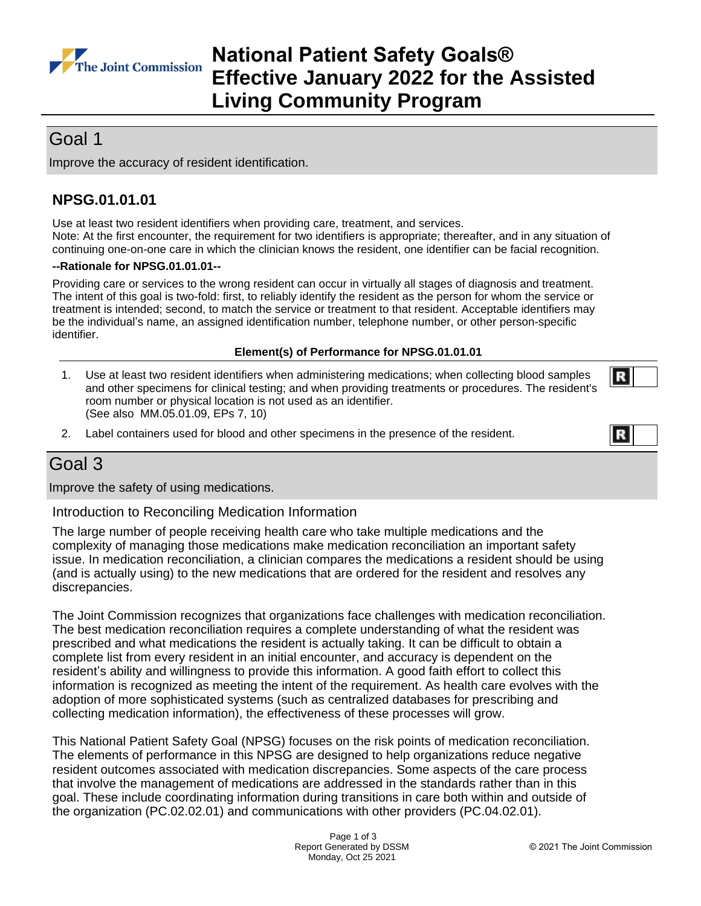

# **National Patient Safety Goals® Effective January 2022 for the Assisted Living Community Program**

# Goal 1

Improve the accuracy of resident identification.

## **NPSG.01.01.01**

Use at least two resident identifiers when providing care, treatment, and services. Note: At the first encounter, the requirement for two identifiers is appropriate; thereafter, and in any situation of continuing one-on-one care in which the clinician knows the resident, one identifier can be facial recognition.

### **--Rationale for NPSG.01.01.01--**

Providing care or services to the wrong resident can occur in virtually all stages of diagnosis and treatment. The intent of this goal is two-fold: first, to reliably identify the resident as the person for whom the service or treatment is intended; second, to match the service or treatment to that resident. Acceptable identifiers may be the individual's name, an assigned identification number, telephone number, or other person-specific identifier.

## **Element(s) of Performance for NPSG.01.01.01**

- 1. Use at least two resident identifiers when administering medications; when collecting blood samples and other specimens for clinical testing; and when providing treatments or procedures. The resident's room number or physical location is not used as an identifier. (See also MM.05.01.09, EPs 7, 10)
- 2. Label containers used for blood and other specimens in the presence of the resident.



R

# Goal 3

Improve the safety of using medications.

Introduction to Reconciling Medication Information

The large number of people receiving health care who take multiple medications and the complexity of managing those medications make medication reconciliation an important safety issue. In medication reconciliation, a clinician compares the medications a resident should be using (and is actually using) to the new medications that are ordered for the resident and resolves any discrepancies.

The Joint Commission recognizes that organizations face challenges with medication reconciliation. The best medication reconciliation requires a complete understanding of what the resident was prescribed and what medications the resident is actually taking. It can be difficult to obtain a complete list from every resident in an initial encounter, and accuracy is dependent on the resident's ability and willingness to provide this information. A good faith effort to collect this information is recognized as meeting the intent of the requirement. As health care evolves with the adoption of more sophisticated systems (such as centralized databases for prescribing and collecting medication information), the effectiveness of these processes will grow.

This National Patient Safety Goal (NPSG) focuses on the risk points of medication reconciliation. The elements of performance in this NPSG are designed to help organizations reduce negative resident outcomes associated with medication discrepancies. Some aspects of the care process that involve the management of medications are addressed in the standards rather than in this goal. These include coordinating information during transitions in care both within and outside of the organization (PC.02.02.01) and communications with other providers (PC.04.02.01).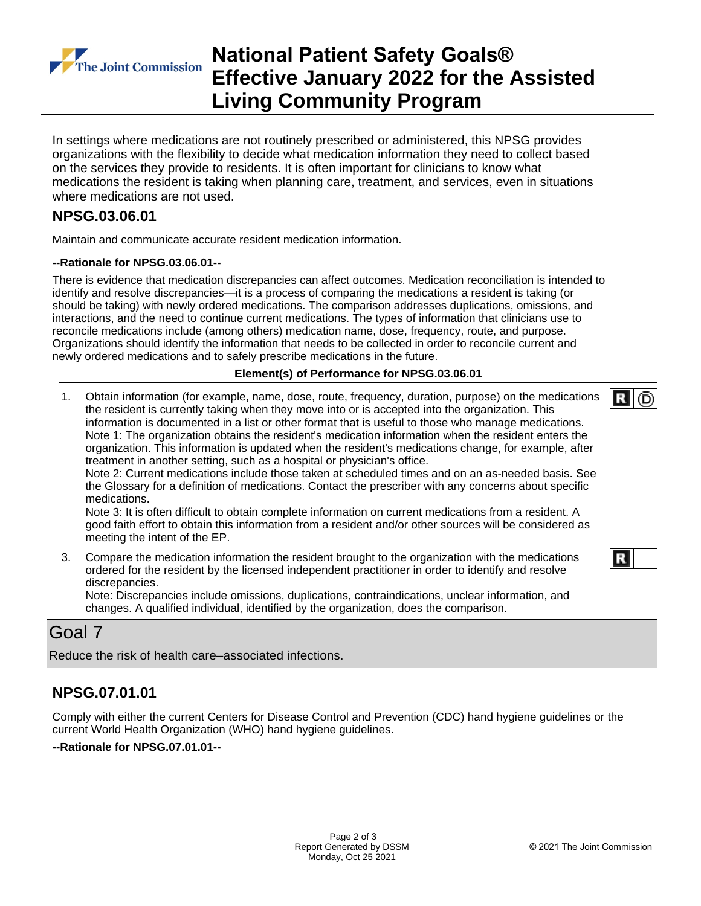

# **National Patient Safety Goals® Effective January 2022 for the Assisted Living Community Program**

In settings where medications are not routinely prescribed or administered, this NPSG provides organizations with the flexibility to decide what medication information they need to collect based on the services they provide to residents. It is often important for clinicians to know what medications the resident is taking when planning care, treatment, and services, even in situations where medications are not used.

## **NPSG.03.06.01**

Maintain and communicate accurate resident medication information.

### **--Rationale for NPSG.03.06.01--**

There is evidence that medication discrepancies can affect outcomes. Medication reconciliation is intended to identify and resolve discrepancies—it is a process of comparing the medications a resident is taking (or should be taking) with newly ordered medications. The comparison addresses duplications, omissions, and interactions, and the need to continue current medications. The types of information that clinicians use to reconcile medications include (among others) medication name, dose, frequency, route, and purpose. Organizations should identify the information that needs to be collected in order to reconcile current and newly ordered medications and to safely prescribe medications in the future.

### **Element(s) of Performance for NPSG.03.06.01**

1. Obtain information (for example, name, dose, route, frequency, duration, purpose) on the medications the resident is currently taking when they move into or is accepted into the organization. This information is documented in a list or other format that is useful to those who manage medications. Note 1: The organization obtains the resident's medication information when the resident enters the organization. This information is updated when the resident's medications change, for example, after treatment in another setting, such as a hospital or physician's office.

Note 2: Current medications include those taken at scheduled times and on an as-needed basis. See the Glossary for a definition of medications. Contact the prescriber with any concerns about specific medications.

Note 3: It is often difficult to obtain complete information on current medications from a resident. A good faith effort to obtain this information from a resident and/or other sources will be considered as meeting the intent of the EP.

3. Compare the medication information the resident brought to the organization with the medications ordered for the resident by the licensed independent practitioner in order to identify and resolve discrepancies.

Note: Discrepancies include omissions, duplications, contraindications, unclear information, and changes. A qualified individual, identified by the organization, does the comparison.

## Goal 7

Reduce the risk of health care–associated infections.

## **NPSG.07.01.01**

Comply with either the current Centers for Disease Control and Prevention (CDC) hand hygiene guidelines or the current World Health Organization (WHO) hand hygiene guidelines.

### **--Rationale for NPSG.07.01.01--**